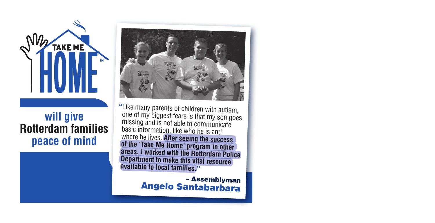

## **will give Rotterdam families peace of mind**



"Like many parents of children with autism, one of my biggest fears is that my son goes missing and is not able to communicate basic information, like who he is and where he lives. **After seeing the success of the 'Take Me Home' program in other areas, I worked with the Rotterdam Police Department to make this vital resource available to local families.**"

> – Assemblyman Angelo Santabarbara